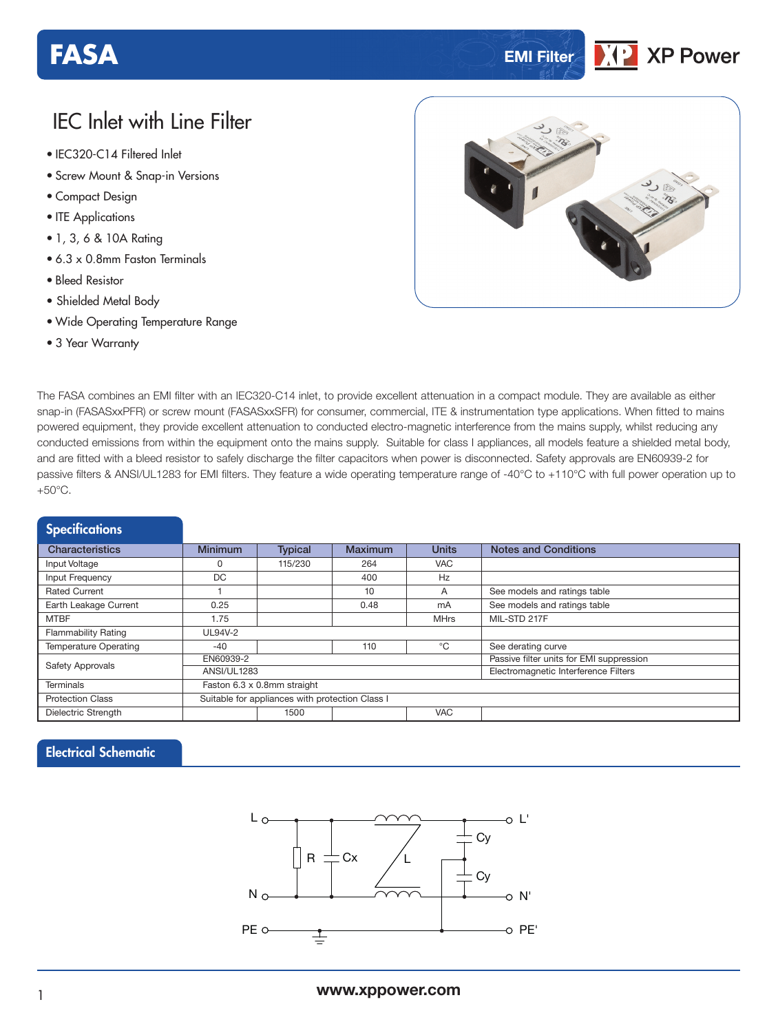# **FASA EMI EMI EMI EMI EMI EMI**

## **XP Power**

### IEC Inlet with Line Filter

- **xxx Series** IEC320-C14 Filtered Inlet
- Screw Mount & Snap-in Versions
- Compact Design
- ITE Applications
- 1, 3, 6 & 10A Rating
- 6.3 x 0.8mm Faston Terminals
- Bleed Resistor
- Shielded Metal Body
- Wide Operating Temperature Range
- 3 Year Warranty



The FASA combines an EMI filter with an IEC320-C14 inlet, to provide excellent attenuation in a compact module. They are available as either snap-in (FASASxxPFR) or screw mount (FASASxxSFR) for consumer, commercial, ITE & instrumentation type applications. When fitted to mains powered equipment, they provide excellent attenuation to conducted electro-magnetic interference from the mains supply, whilst reducing any conducted emissions from within the equipment onto the mains supply. Suitable for class I appliances, all models feature a shielded metal body, and are fitted with a bleed resistor to safely discharge the filter capacitors when power is disconnected. Safety approvals are EN60939-2 for passive filters & ANSI/UL1283 for EMI filters. They feature a wide operating temperature range of -40°C to +110°C with full power operation up to  $+50^{\circ}$ C.

| <b>Specifications</b>        |                                                 |                |                |                                          |                              |  |  |  |  |
|------------------------------|-------------------------------------------------|----------------|----------------|------------------------------------------|------------------------------|--|--|--|--|
| <b>Characteristics</b>       | <b>Minimum</b>                                  | <b>Typical</b> | <b>Maximum</b> | <b>Units</b>                             | <b>Notes and Conditions</b>  |  |  |  |  |
| Input Voltage                | N                                               | 115/230        | 264            | <b>VAC</b>                               |                              |  |  |  |  |
| Input Frequency              | DC                                              |                | 400            | Hz                                       |                              |  |  |  |  |
| <b>Rated Current</b>         |                                                 |                | 10             | A                                        | See models and ratings table |  |  |  |  |
| Earth Leakage Current        | 0.25                                            |                | 0.48           | mA                                       | See models and ratings table |  |  |  |  |
| <b>MTBF</b>                  | 1.75                                            |                |                | <b>MHrs</b>                              | MIL-STD 217F                 |  |  |  |  |
| <b>Flammability Rating</b>   | UL94V-2                                         |                |                |                                          |                              |  |  |  |  |
| <b>Temperature Operating</b> | $-40$                                           |                | 110            | °C                                       | See derating curve           |  |  |  |  |
| <b>Safety Approvals</b>      | EN60939-2                                       |                |                | Passive filter units for EMI suppression |                              |  |  |  |  |
|                              | <b>ANSI/UL1283</b>                              |                |                | Electromagnetic Interference Filters     |                              |  |  |  |  |
| <b>Terminals</b>             | Faston 6.3 x 0.8mm straight                     |                |                |                                          |                              |  |  |  |  |
| <b>Protection Class</b>      | Suitable for appliances with protection Class I |                |                |                                          |                              |  |  |  |  |
| Dielectric Strength          |                                                 | 1500           |                | <b>VAC</b>                               |                              |  |  |  |  |

#### Electrical Schematic

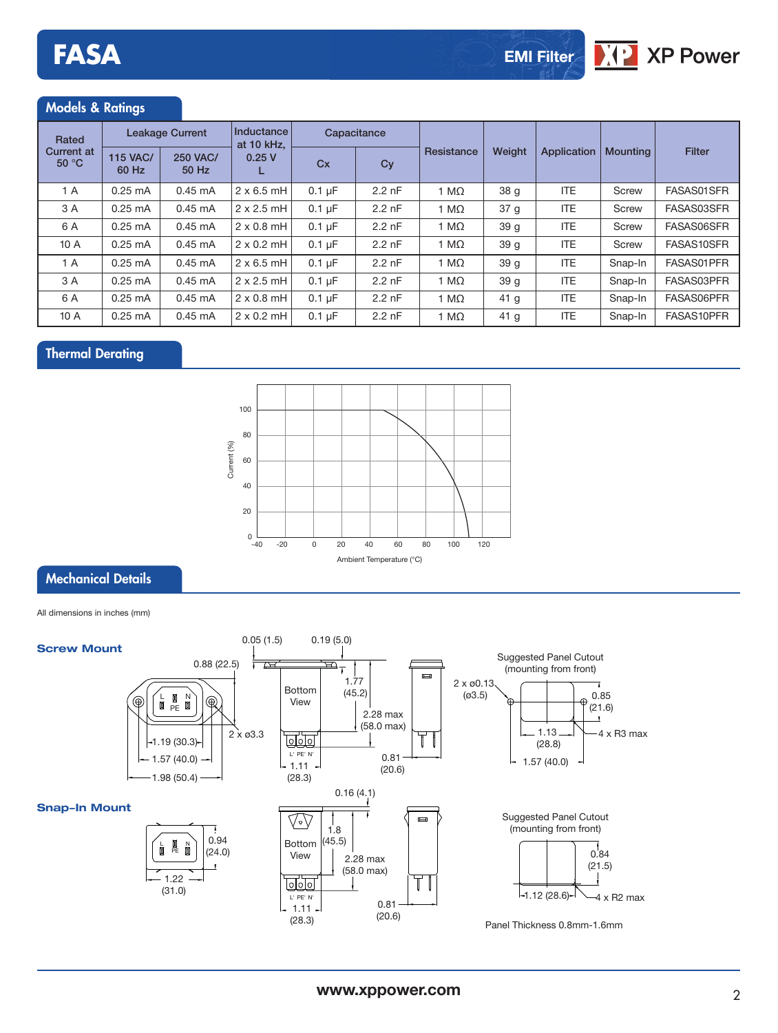#### Models & Ratings

| Rated<br><b>Current at</b><br>50 °C | <b>Leakage Current</b>   |                          | Inductance<br>at 10 kHz. | Capacitance |                  |              |                 |             |                 |               |
|-------------------------------------|--------------------------|--------------------------|--------------------------|-------------|------------------|--------------|-----------------|-------------|-----------------|---------------|
|                                     | <b>115 VAC/</b><br>60 Hz | <b>250 VAC/</b><br>50 Hz | 0.25V                    | Cx          | Cy               | Resistance   | Weight          | Application | <b>Mounting</b> | <b>Filter</b> |
| 1 A                                 | $0.25 \text{ mA}$        | $0.45 \text{ mA}$        | $2 \times 6.5$ mH        | $0.1 \mu F$ | $2.2$ nF         | 1 M $\Omega$ | 38 <sub>g</sub> | <b>ITE</b>  | Screw           | FASAS01SFR    |
| 3 A                                 | $0.25 \text{ mA}$        | $0.45 \text{ mA}$        | $2 \times 2.5$ mH        | $0.1 \mu F$ | $2.2 \text{ nF}$ | 1 M $\Omega$ | 37 <sub>g</sub> | ITE.        | Screw           | FASAS03SFR    |
| 6 A                                 | $0.25 \text{ mA}$        | $0.45 \text{ mA}$        | $2 \times 0.8$ mH        | $0.1 \mu F$ | $2.2$ nF         | 1 M $\Omega$ | 39 <sub>g</sub> | ITE.        | Screw           | FASAS06SFR    |
| 10A                                 | $0.25$ mA                | $0.45 \text{ mA}$        | $2 \times 0.2$ mH        | $0.1 \mu F$ | $2.2$ nF         | 1 M $\Omega$ | 39 <sub>g</sub> | <b>ITE</b>  | Screw           | FASAS10SFR    |
| 1 A                                 | $0.25 \text{ mA}$        | $0.45 \text{ mA}$        | $2 \times 6.5$ mH        | $0.1 \mu F$ | $2.2$ nF         | 1 M $\Omega$ | 39 <sub>q</sub> | <b>ITE</b>  | Snap-In         | FASAS01PFR    |
| 3 A                                 | $0.25 \text{ mA}$        | $0.45 \text{ mA}$        | $2 \times 2.5$ mH        | $0.1 \mu F$ | $2.2$ nF         | 1 M $\Omega$ | 39 <sub>g</sub> | <b>ITE</b>  | Snap-In         | FASAS03PFR    |
| 6 A                                 | $0.25$ mA                | $0.45 \text{ mA}$        | $2 \times 0.8$ mH        | $0.1 \mu F$ | $2.2$ nF         | 1 M $\Omega$ | 41 <sub>g</sub> | ITE.        | Snap-In         | FASAS06PFR    |
| 10A                                 | $0.25 \text{ mA}$        | $0.45 \text{ mA}$        | $2 \times 0.2$ mH        | $0.1 \mu F$ | $2.2 \text{ nF}$ | 1 M $\Omega$ | 41 <sub>g</sub> | <b>ITE</b>  | Snap-In         | FASAS10PFR    |

### Thermal Derating



#### Mechanical Details

All dimensions in inches (mm)